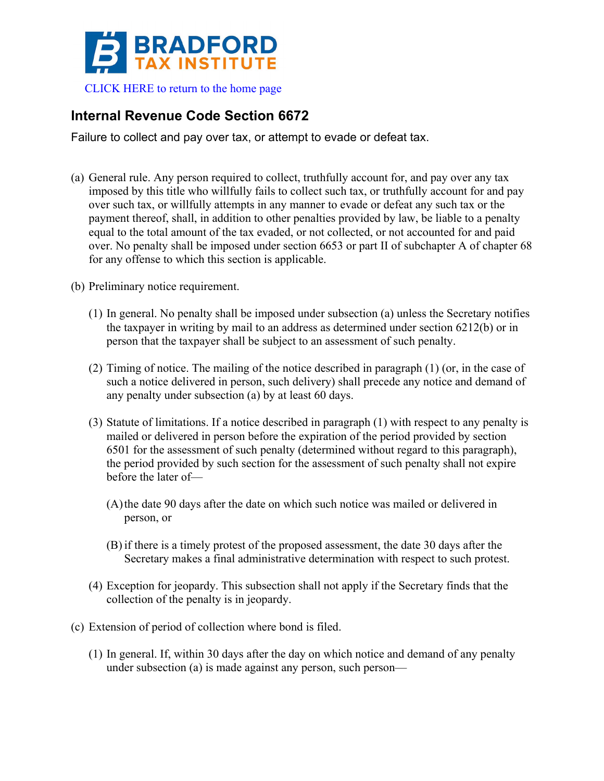

## **Internal Revenue Code Section 6672**

Failure to collect and pay over tax, or attempt to evade or defeat tax.

(a) General rule. Any person required to collect, truthfully account for, and pay over any tax imposed by this title who willfully fails to collect such tax, or truthfully account for and pay over such tax, or willfully attempts in any manner to evade or defeat any such tax or the payment thereof, shall, in addition to other penalties provided by law, be liable to a penalty equal to the total amount of the tax evaded, or not collected, or not accounted for and paid over. No penalty shall be imposed under section 6653 or part II of subchapter A of chapter 68 for any offense to which this section is applicable.

(b) Preliminary notice requirement.

- (1) In general. No penalty shall be imposed under subsection (a) unless the Secretary notifies the taxpayer in writing by mail to an address as determined under section 6212(b) or in person that the taxpayer shall be subject to an assessment of such penalty.
- (2) Timing of notice. The mailing of the notice described in paragraph (1) (or, in the case of such a notice delivered in person, such delivery) shall precede any notice and demand of any penalty under subsection (a) by at least 60 days.
- (3) Statute of limitations. If a notice described in paragraph (1) with respect to any penalty is mailed or delivered in person before the expiration of the period provided by section 6501 for the assessment of such penalty (determined without regard to this paragraph), the period provided by such section for the assessment of such penalty shall not expire before the later of—
	- (A)the date 90 days after the date on which such notice was mailed or delivered in person, or
	- (B) if there is a timely protest of the proposed assessment, the date 30 days after the Secretary makes a final administrative determination with respect to such protest.
- (4) Exception for jeopardy. This subsection shall not apply if the Secretary finds that the collection of the penalty is in jeopardy.
- (c) Extension of period of collection where bond is filed.
	- (1) In general. If, within 30 days after the day on which notice and demand of any penalty under subsection (a) is made against any person, such person—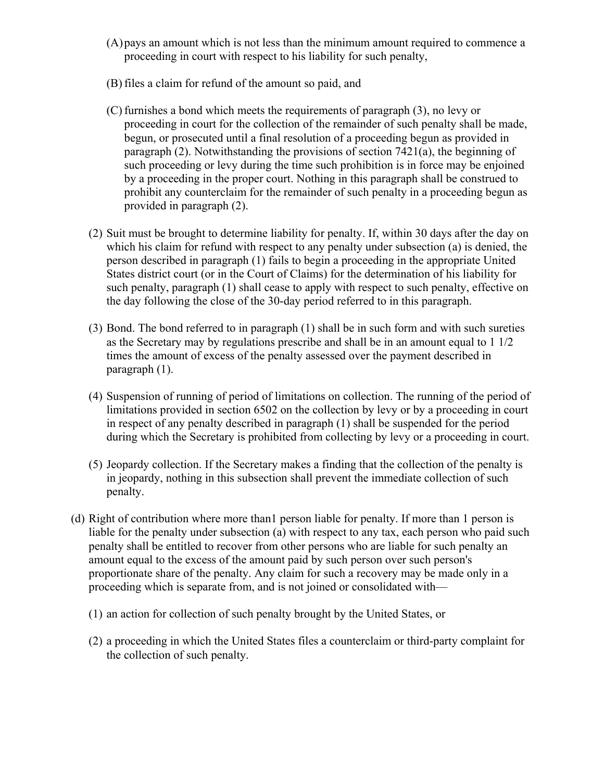- (A)pays an amount which is not less than the minimum amount required to commence a proceeding in court with respect to his liability for such penalty,
- (B) files a claim for refund of the amount so paid, and
- (C) furnishes a bond which meets the requirements of paragraph (3), no levy or proceeding in court for the collection of the remainder of such penalty shall be made, begun, or prosecuted until a final resolution of a proceeding begun as provided in paragraph (2). Notwithstanding the provisions of section 7421(a), the beginning of such proceeding or levy during the time such prohibition is in force may be enjoined by a proceeding in the proper court. Nothing in this paragraph shall be construed to prohibit any counterclaim for the remainder of such penalty in a proceeding begun as provided in paragraph (2).
- (2) Suit must be brought to determine liability for penalty. If, within 30 days after the day on which his claim for refund with respect to any penalty under subsection (a) is denied, the person described in paragraph (1) fails to begin a proceeding in the appropriate United States district court (or in the Court of Claims) for the determination of his liability for such penalty, paragraph (1) shall cease to apply with respect to such penalty, effective on the day following the close of the 30-day period referred to in this paragraph.
- (3) Bond. The bond referred to in paragraph (1) shall be in such form and with such sureties as the Secretary may by regulations prescribe and shall be in an amount equal to 1 1/2 times the amount of excess of the penalty assessed over the payment described in paragraph (1).
- (4) Suspension of running of period of limitations on collection. The running of the period of limitations provided in section 6502 on the collection by levy or by a proceeding in court in respect of any penalty described in paragraph (1) shall be suspended for the period during which the Secretary is prohibited from collecting by levy or a proceeding in court.
- (5) Jeopardy collection. If the Secretary makes a finding that the collection of the penalty is in jeopardy, nothing in this subsection shall prevent the immediate collection of such penalty.
- (d) Right of contribution where more than1 person liable for penalty. If more than 1 person is liable for the penalty under subsection (a) with respect to any tax, each person who paid such penalty shall be entitled to recover from other persons who are liable for such penalty an amount equal to the excess of the amount paid by such person over such person's proportionate share of the penalty. Any claim for such a recovery may be made only in a proceeding which is separate from, and is not joined or consolidated with—
	- (1) an action for collection of such penalty brought by the United States, or
	- (2) a proceeding in which the United States files a counterclaim or third-party complaint for the collection of such penalty.